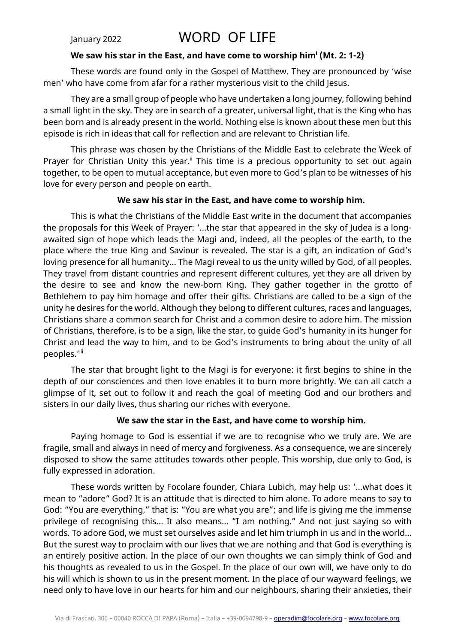# January 2022 WORD OF LIFE

#### **We saw his star in the East, and have come to worship him<sup>i</sup> (Mt. 2: 1-2)**

These words are found only in the Gospel of Matthew. They are pronounced by 'wise men' who have come from afar for a rather mysterious visit to the child Jesus.

They are a small group of people who have undertaken a long journey, following behind a small light in the sky. They are in search of a greater, universal light, that is the King who has been born and is already present in the world. Nothing else is known about these men but this episode is rich in ideas that call for reflection and are relevant to Christian life.

This phrase was chosen by the Christians of the Middle East to celebrate the Week of Prayer for Christian Unity this year.<sup>ii</sup> This time is a precious opportunity to set out again together, to be open to mutual acceptance, but even more to God's plan to be witnesses of his love for every person and people on earth.

## **We saw his star in the East, and have come to worship him.**

This is what the Christians of the Middle East write in the document that accompanies the proposals for this Week of Prayer: '…the star that appeared in the sky of Judea is a longawaited sign of hope which leads the Magi and, indeed, all the peoples of the earth, to the place where the true King and Saviour is revealed. The star is a gift, an indication of God's loving presence for all humanity… The Magi reveal to us the unity willed by God, of all peoples. They travel from distant countries and represent different cultures, yet they are all driven by the desire to see and know the new-born King. They gather together in the grotto of Bethlehem to pay him homage and offer their gifts. Christians are called to be a sign of the unity he desires for the world. Although they belong to different cultures, races and languages, Christians share a common search for Christ and a common desire to adore him. The mission of Christians, therefore, is to be a sign, like the star, to guide God's humanity in its hunger for Christ and lead the way to him, and to be God's instruments to bring about the unity of all peoples.'iii

The star that brought light to the Magi is for everyone: it first begins to shine in the depth of our consciences and then love enables it to burn more brightly. We can all catch a glimpse of it, set out to follow it and reach the goal of meeting God and our brothers and sisters in our daily lives, thus sharing our riches with everyone.

## **We saw the star in the East, and have come to worship him.**

Paying homage to God is essential if we are to recognise who we truly are. We are fragile, small and always in need of mercy and forgiveness. As a consequence, we are sincerely disposed to show the same attitudes towards other people. This worship, due only to God, is fully expressed in adoration.

These words written by Focolare founder, Chiara Lubich, may help us: '…what does it mean to "adore" God? It is an attitude that is directed to him alone. To adore means to say to God: "You are everything," that is: "You are what you are"; and life is giving me the immense privilege of recognising this… It also means… "I am nothing." And not just saying so with words. To adore God, we must set ourselves aside and let him triumph in us and in the world… But the surest way to proclaim with our lives that we are nothing and that God is everything is an entirely positive action. In the place of our own thoughts we can simply think of God and his thoughts as revealed to us in the Gospel. In the place of our own will, we have only to do his will which is shown to us in the present moment. In the place of our wayward feelings, we need only to have love in our hearts for him and our neighbours, sharing their anxieties, their